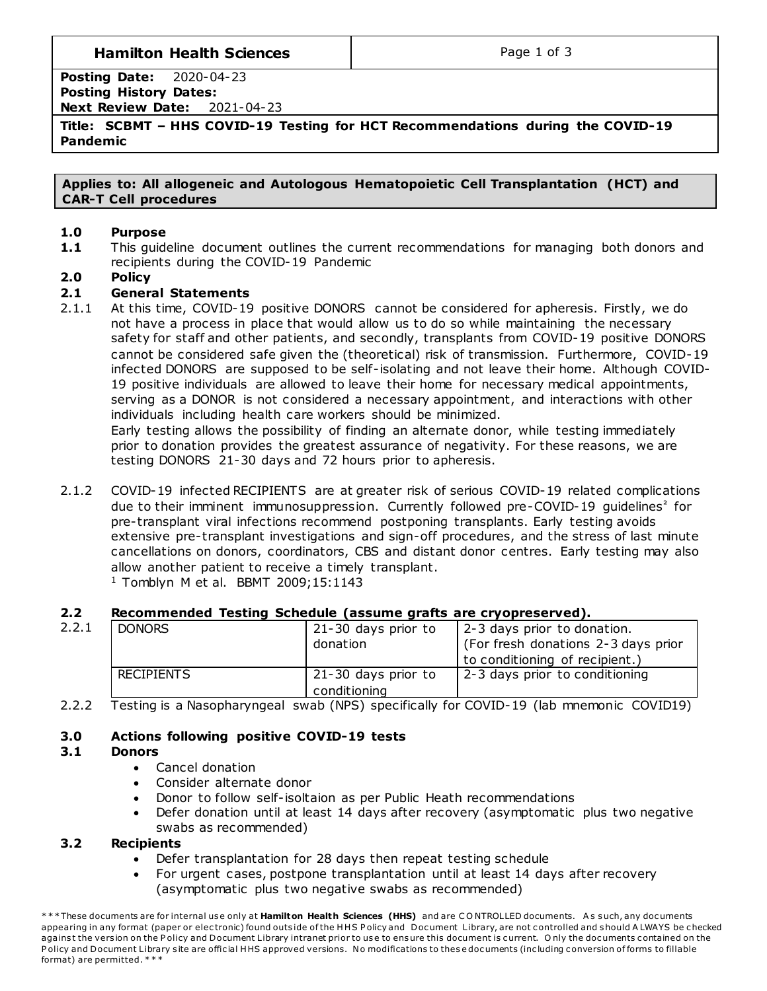# **Hamilton Health Sciences**  $\qquad$  **Page 1 of 3**

**Posting Date:** 2020-04-23 **Posting History Dates: Next Review Date:** 2021-04-23

**Title: SCBMT – HHS COVID-19 Testing for HCT Recommendations during the COVID-19 Pandemic**

**Applies to: All allogeneic and Autologous Hematopoietic Cell Transplantation (HCT) and CAR-T Cell procedures**

### **1.0 Purpose**

**1.1** This guideline document outlines the current recommendations for managing both donors and recipients during the COVID-19 Pandemic

## **2.0 Policy**

## **2.1 General Statements**

2.1.1 At this time, COVID-19 positive DONORS cannot be considered for apheresis. Firstly, we do not have a process in place that would allow us to do so while maintaining the necessary safety for staff and other patients, and secondly, transplants from COVID-19 positive DONORS cannot be considered safe given the (theoretical) risk of transmission. Furthermore, COVID-19 infected DONORS are supposed to be self-isolating and not leave their home. Although COVID-19 positive individuals are allowed to leave their home for necessary medical appointments, serving as a DONOR is not considered a necessary appointment, and interactions with other individuals including health care workers should be minimized.

Early testing allows the possibility of finding an alternate donor, while testing immediately prior to donation provides the greatest assurance of negativity. For these reasons, we are testing DONORS 21-30 days and 72 hours prior to apheresis.

2.1.2 COVID-19 infected RECIPIENTS are at greater risk of serious COVID-19 related complications due to their imminent immunosuppression. Currently followed pre-COVID-19 guidelines<sup>2</sup> for pre-transplant viral infections recommend postponing transplants. Early testing avoids extensive pre-transplant investigations and sign-off procedures, and the stress of last minute cancellations on donors, coordinators, CBS and distant donor centres. Early testing may also allow another patient to receive a timely transplant.

<sup>1</sup> Tomblyn M et al. BBMT 2009;15:1143

## **2.2 Recommended Testing Schedule (assume grafts are cryopreserved).**

| 2.2.1 | <b>DONORS</b>     | 21-30 days prior to | 2-3 days prior to donation.         |  |
|-------|-------------------|---------------------|-------------------------------------|--|
|       |                   | donation            | (For fresh donations 2-3 days prior |  |
|       |                   |                     | to conditioning of recipient.)      |  |
|       | <b>RECIPIENTS</b> | 21-30 days prior to | 2-3 days prior to conditioning      |  |
|       |                   | conditioning        |                                     |  |

2.2.2 Testing is a Nasopharyngeal swab (NPS) specifically for COVID-19 (lab mnemonic COVID19)

## **3.0 Actions following positive COVID-19 tests**

#### **3.1 Donors**

- Cancel donation
- Consider alternate donor
- Donor to follow self-isoltaion as per Public Heath recommendations
- Defer donation until at least 14 days after recovery (asymptomatic plus two negative swabs as recommended)

#### **3.2 Recipients**

- Defer transplantation for 28 days then repeat testing schedule
- For urgent cases, postpone transplantation until at least 14 days after recovery (asymptomatic plus two negative swabs as recommended)

<sup>\*\*\*</sup> These documents are for internal use only at Hamilton Health Sciences (HHS) and are CONTROLLED documents. As such, any documents appearing in any format (paper or electronic) found outside of the HHS Policy and Document Library, are not controlled and should A LWAYS be checked against the version on the Policy and Document Library intranet prior to use to ensure this document is current. Only the documents contained on the Policy and Document Library site are official HHS approved versions. No modifications to these documents (including conversion of forms to fillable format) are permitted. \* \* \*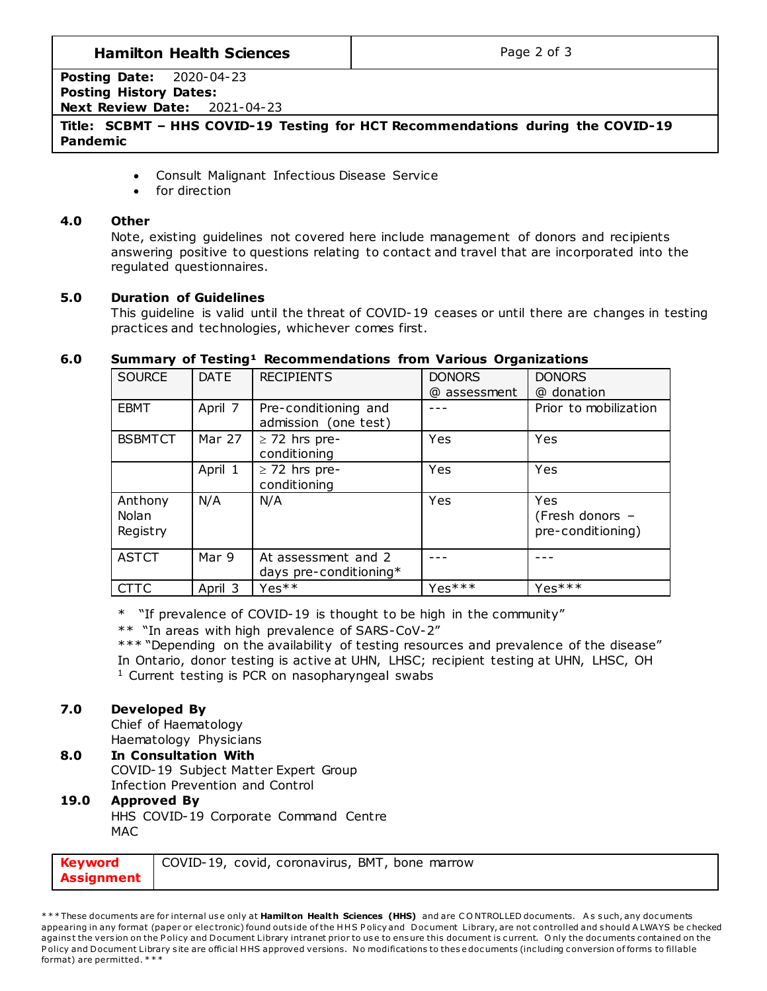# **Hamilton Health Sciences**  $\qquad$  **Page 2 of 3**

**Posting Date:** 2020-04-23 **Posting History Dates: Next Review Date:** 2021-04-23

**Title: SCBMT – HHS COVID-19 Testing for HCT Recommendations during the COVID-19 Pandemic**

- Consult Malignant Infectious Disease Service
- for direction

### **4.0 Other**

Note, existing guidelines not covered here include management of donors and recipients answering positive to questions relating to contact and travel that are incorporated into the regulated questionnaires.

## **5.0 Duration of Guidelines**

This guideline is valid until the threat of COVID-19 ceases or until there are changes in testing practices and technologies, whichever comes first.

## **6.0 Summary of Testing¹ Recommendations from Various Organizations**

| <b>SOURCE</b>  | <b>DATE</b> | <b>RECIPIENTS</b>      | <b>DONORS</b> | <b>DONORS</b>         |
|----------------|-------------|------------------------|---------------|-----------------------|
|                |             |                        | @ assessment  | @ donation            |
| <b>EBMT</b>    | April 7     | Pre-conditioning and   |               | Prior to mobilization |
|                |             | admission (one test)   |               |                       |
| <b>BSBMTCT</b> | Mar 27      | $\geq$ 72 hrs pre-     | Yes           | Yes                   |
|                |             | conditioning           |               |                       |
|                | April 1     | $\geq$ 72 hrs pre-     | Yes           | Yes                   |
|                |             | conditioning           |               |                       |
| Anthony        | N/A         | N/A                    | Yes           | Yes                   |
| Nolan          |             |                        |               | (Fresh donors -       |
| Registry       |             |                        |               | pre-conditioning)     |
|                |             |                        |               |                       |
| <b>ASTCT</b>   | Mar 9       | At assessment and 2    |               |                       |
|                |             | days pre-conditioning* |               |                       |
| <b>CTTC</b>    | April 3     | Yes <sup>**</sup>      | $Yes***$      | $Yes***$              |

\* "If prevalence of COVID-19 is thought to be high in the community"

\*\* "In areas with high prevalence of SARS-CoV-2"

\*\*\* "Depending on the availability of testing resources and prevalence of the disease" In Ontario, donor testing is active at UHN, LHSC; recipient testing at UHN, LHSC, OH  $1$  Current testing is PCR on nasopharyngeal swabs

# **7.0 Developed By**

Chief of Haematology Haematology Physicians

#### **8.0 In Consultation With** COVID-19 Subject Matter Expert Group Infection Prevention and Control

## **19.0 Approved By** HHS COVID-19 Corporate Command Centre

MAC

| <b>Keyword</b>    | COVID-19, covid, coronavirus, BMT, bone marrow |
|-------------------|------------------------------------------------|
| <b>Assignment</b> |                                                |

\*\*\* These documents are for internal use only at Hamilton Health Sciences (HHS) and are CONTROLLED documents. As such, any documents appearing in any format (paper or electronic) found outside of the HHS P olicy and Document Library, are not controlled and should A LWAYS be checked against the version on the Policy and Document Library intranet prior to use to ensure this document is current. Only the documents contained on the Policy and Document Library site are official HHS approved versions. No modifications to these documents (including conversion of forms to fillable format) are permitted. \* \* \*